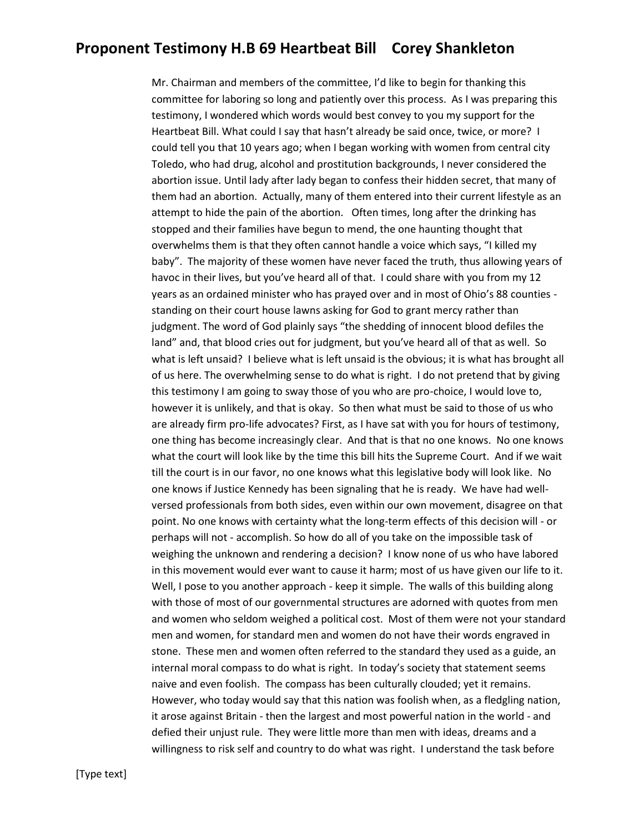## **Proponent Testimony H.B 69 Heartbeat Bill Corey Shankleton**

Mr. Chairman and members of the committee, I'd like to begin for thanking this committee for laboring so long and patiently over this process. As I was preparing this testimony, I wondered which words would best convey to you my support for the Heartbeat Bill. What could I say that hasn't already be said once, twice, or more? I could tell you that 10 years ago; when I began working with women from central city Toledo, who had drug, alcohol and prostitution backgrounds, I never considered the abortion issue. Until lady after lady began to confess their hidden secret, that many of them had an abortion. Actually, many of them entered into their current lifestyle as an attempt to hide the pain of the abortion. Often times, long after the drinking has stopped and their families have begun to mend, the one haunting thought that overwhelms them is that they often cannot handle a voice which says, "I killed my baby". The majority of these women have never faced the truth, thus allowing years of havoc in their lives, but you've heard all of that. I could share with you from my 12 years as an ordained minister who has prayed over and in most of Ohio's 88 counties standing on their court house lawns asking for God to grant mercy rather than judgment. The word of God plainly says "the shedding of innocent blood defiles the land" and, that blood cries out for judgment, but you've heard all of that as well. So what is left unsaid? I believe what is left unsaid is the obvious; it is what has brought all of us here. The overwhelming sense to do what is right. I do not pretend that by giving this testimony I am going to sway those of you who are pro-choice, I would love to, however it is unlikely, and that is okay. So then what must be said to those of us who are already firm pro-life advocates? First, as I have sat with you for hours of testimony, one thing has become increasingly clear. And that is that no one knows. No one knows what the court will look like by the time this bill hits the Supreme Court. And if we wait till the court is in our favor, no one knows what this legislative body will look like. No one knows if Justice Kennedy has been signaling that he is ready. We have had wellversed professionals from both sides, even within our own movement, disagree on that point. No one knows with certainty what the long-term effects of this decision will - or perhaps will not - accomplish. So how do all of you take on the impossible task of weighing the unknown and rendering a decision? I know none of us who have labored in this movement would ever want to cause it harm; most of us have given our life to it. Well, I pose to you another approach - keep it simple. The walls of this building along with those of most of our governmental structures are adorned with quotes from men and women who seldom weighed a political cost. Most of them were not your standard men and women, for standard men and women do not have their words engraved in stone. These men and women often referred to the standard they used as a guide, an internal moral compass to do what is right. In today's society that statement seems naive and even foolish. The compass has been culturally clouded; yet it remains. However, who today would say that this nation was foolish when, as a fledgling nation, it arose against Britain - then the largest and most powerful nation in the world - and defied their unjust rule. They were little more than men with ideas, dreams and a willingness to risk self and country to do what was right. I understand the task before